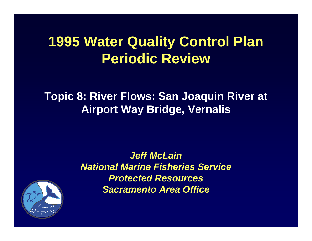## **1995 Water Quality Control Plan Periodic Review**

#### **Topic 8: River Flows: San Joaquin River at Airport Way Bridge, Vernalis**

*Jeff McLainNational Marine Fisheries Service Protected Resources Sacramento Area Office*

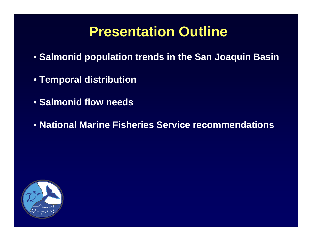### **Presentation Outline**

- **Salmonid population trends in the San Joaquin Basin**
- **Temporal distribution**
- **Salmonid flow needs**
- **National Marine Fisheries Service recommendations**

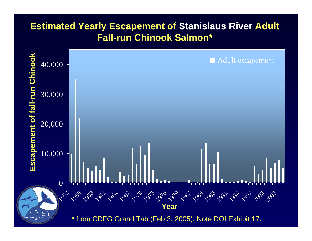#### **Estimated Yearly Escapement of Stanislaus River Adult Fall-run Chinook Salmon\***

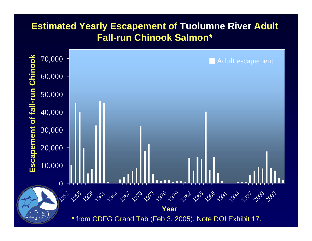#### **Estimated Yearly Escapement of Tuolumne River Adult Fall-run Chinook Salmon\***

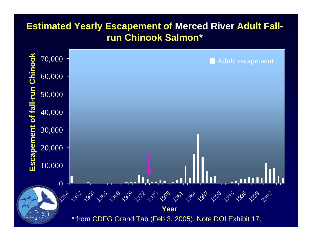#### **Estimated Yearly Escapement of Merced River Adult Fallrun Chinook Salmon\***

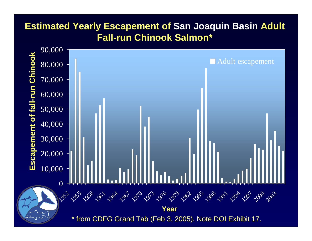#### **Estimated Yearly Escapement of San Joaquin Basin Adult Fall-run Chinook Salmon\***

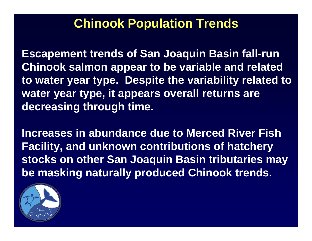### **Chinook Population Trends**

**Escapement trends of San Joaquin Basin fall-run Chinook salmon appear to be variable and related to water year type. Despite the variability related to water year type, it appears overall returns are decreasing through time.** 

**Increases in abundance due to Merced River Fish Facility, and unknown contributions of hatchery stocks on other San Joaquin Basin tributaries may be masking naturally produced Chinook trends.** 

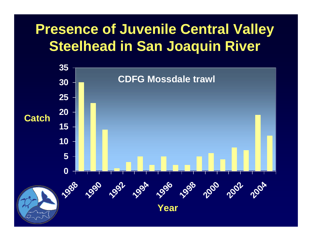## **Presence of Juvenile Central Valley Steelhead in San Joaquin River**

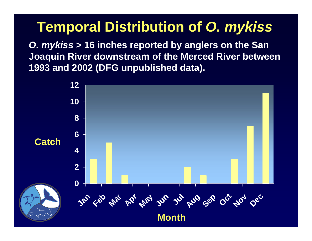### **Temporal Distribution of** *O. mykiss*

*O. mykiss* **> 16 inches reported by anglers on the San Joaquin River downstream of the Merced River between 1993 and 2002 (DFG unpublished data).**

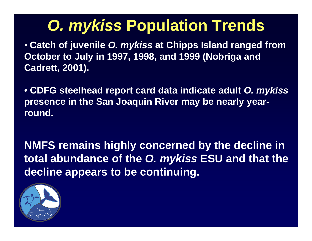## *O. mykiss* **Population Trends**

• **Catch of juvenile** *O. mykiss* **at Chipps Island ranged from October to July in 1997, 1998, and 1999 (Nobriga and Cadrett, 2001).**

• **CDFG steelhead report card data indicate adult** *O. mykiss* **presence in the San Joaquin River may be nearly yearround.**

**NMFS remains highly concerned by the decline in total abundance of the** *O. mykiss* **ESU and that the decline appears to be continuing.**

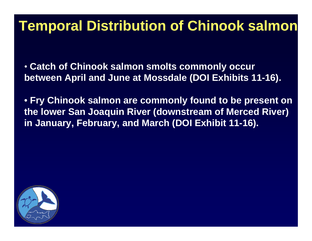### **Temporal Distribution of Chinook salmon**

• **Catch of Chinook salmon smolts commonly occur between April and June at Mossdale (DOI Exhibits 11-16).**

• **Fry Chinook salmon are commonly found to be present on the lower San Joaquin River (downstream of Merced River) in January, February, and March (DOI Exhibit 11-16).** 

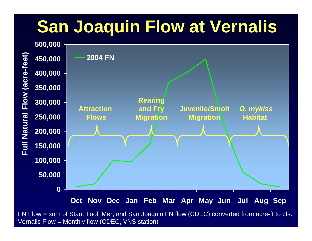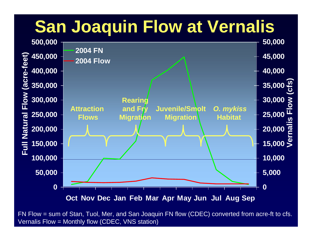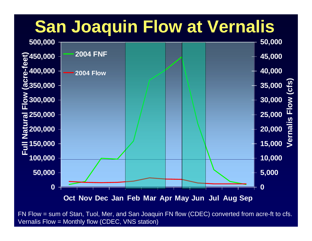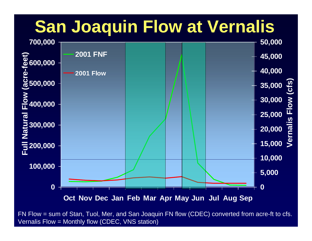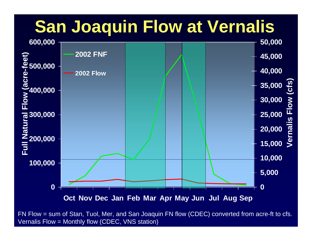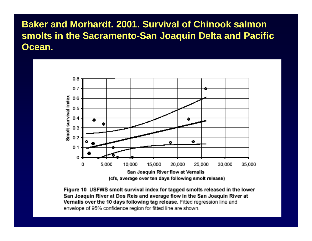**Baker and Morhardt. 2001. Survival of Chinook salmon smolts in the Sacramento-San Joaquin Delta and Pacific Ocean.**



Figure 10 USFWS smolt survival index for tagged smolts released in the lower San Joaquin River at Dos Reis and average flow in the San Joaquin River at Vernalis over the 10 days following tag release. Fitted regression line and envelope of 95% confidence region for fitted line are shown.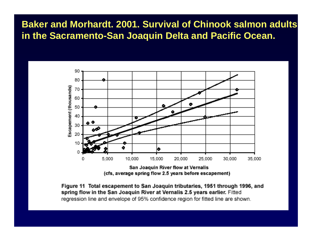#### **Baker and Morhardt. 2001. Survival of Chinook salmon adults in the Sacramento-San Joaquin Delta and Pacific Ocean.**



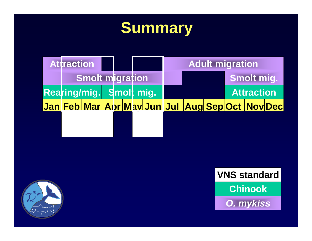## **Summary**





**Chinook VNS standard**

*O. mykiss*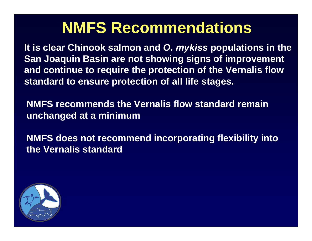## **NMFS Recommendations**

**It is clear Chinook salmon and** *O. mykiss* **populations in the San Joaquin Basin are not showing signs of improvement and continue to require the protection of the Vernalis flow standard to ensure protection of all life stages.** 

**NMFS recommends the Vernalis flow standard remain unchanged at a minimum**

**NMFS does not recommend incorporating flexibility into the Vernalis standard**